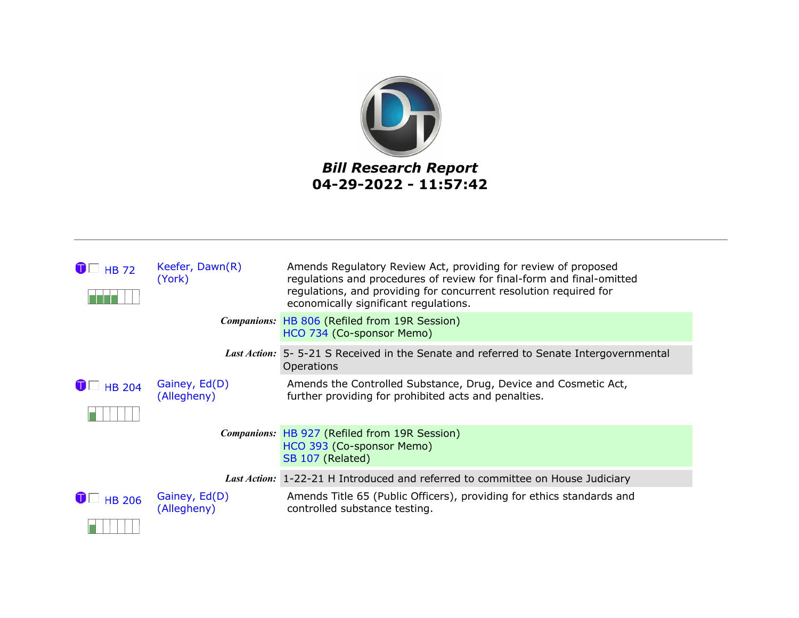

| $\bigcirc$ HB 72         | Keefer, Dawn(R)<br>(York)    | Amends Regulatory Review Act, providing for review of proposed<br>regulations and procedures of review for final-form and final-omitted<br>regulations, and providing for concurrent resolution required for<br>economically significant regulations. |
|--------------------------|------------------------------|-------------------------------------------------------------------------------------------------------------------------------------------------------------------------------------------------------------------------------------------------------|
|                          |                              | <b>Companions: HB 806 (Refiled from 19R Session)</b><br>HCO 734 (Co-sponsor Memo)                                                                                                                                                                     |
|                          |                              | Last Action: 5-5-21 S Received in the Senate and referred to Senate Intergovernmental<br>Operations                                                                                                                                                   |
| $\bigcirc$ $\Box$ HB 204 | Gainey, Ed(D)<br>(Allegheny) | Amends the Controlled Substance, Drug, Device and Cosmetic Act,<br>further providing for prohibited acts and penalties.                                                                                                                               |
|                          |                              | Companions: HB 927 (Refiled from 19R Session)<br>HCO 393 (Co-sponsor Memo)<br>SB 107 (Related)                                                                                                                                                        |
|                          |                              | Last Action: 1-22-21 H Introduced and referred to committee on House Judiciary                                                                                                                                                                        |
| $\blacksquare$ HB 206    | Gainey, Ed(D)<br>(Allegheny) | Amends Title 65 (Public Officers), providing for ethics standards and<br>controlled substance testing.                                                                                                                                                |
|                          |                              |                                                                                                                                                                                                                                                       |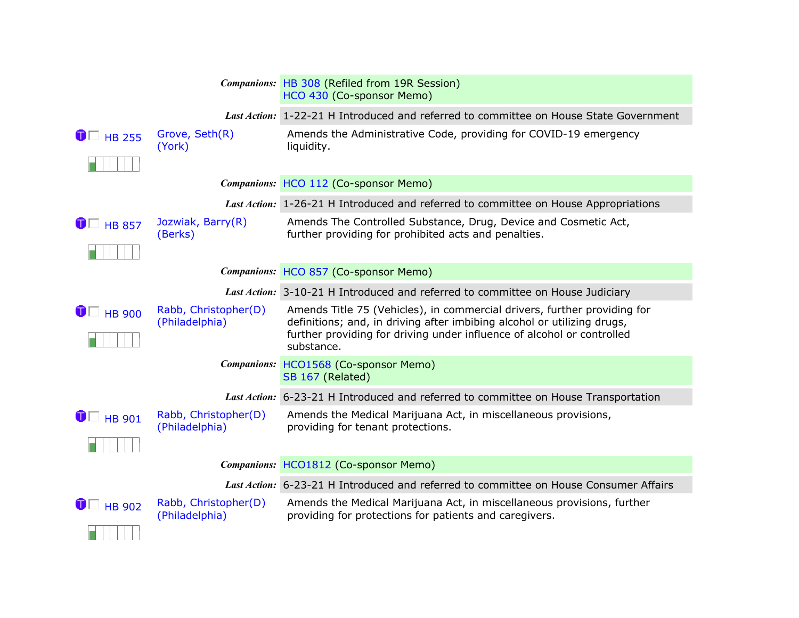|                       |                                        | Companions: HB 308 (Refiled from 19R Session)<br>HCO 430 (Co-sponsor Memo)                                                                                                                                                                  |
|-----------------------|----------------------------------------|---------------------------------------------------------------------------------------------------------------------------------------------------------------------------------------------------------------------------------------------|
|                       |                                        | Last Action: 1-22-21 H Introduced and referred to committee on House State Government                                                                                                                                                       |
| $\bigcirc$ HB 255     | Grove, Seth(R)<br>(York)               | Amends the Administrative Code, providing for COVID-19 emergency<br>liquidity.                                                                                                                                                              |
|                       |                                        | Companions: HCO 112 (Co-sponsor Memo)                                                                                                                                                                                                       |
|                       |                                        | Last Action: 1-26-21 H Introduced and referred to committee on House Appropriations                                                                                                                                                         |
| $\bullet$ HB 857      | Jozwiak, Barry(R)<br>(Berks)           | Amends The Controlled Substance, Drug, Device and Cosmetic Act,<br>further providing for prohibited acts and penalties.                                                                                                                     |
|                       |                                        | Companions: HCO 857 (Co-sponsor Memo)                                                                                                                                                                                                       |
|                       |                                        | Last Action: 3-10-21 H Introduced and referred to committee on House Judiciary                                                                                                                                                              |
| $\blacksquare$ HB 900 | Rabb, Christopher(D)<br>(Philadelphia) | Amends Title 75 (Vehicles), in commercial drivers, further providing for<br>definitions; and, in driving after imbibing alcohol or utilizing drugs,<br>further providing for driving under influence of alcohol or controlled<br>substance. |
|                       |                                        | Companions: HCO1568 (Co-sponsor Memo)<br>SB 167 (Related)                                                                                                                                                                                   |
|                       |                                        | Last Action: 6-23-21 H Introduced and referred to committee on House Transportation                                                                                                                                                         |
| $\bigcirc$ HB 901     | Rabb, Christopher(D)<br>(Philadelphia) | Amends the Medical Marijuana Act, in miscellaneous provisions,<br>providing for tenant protections.                                                                                                                                         |
|                       |                                        | Companions: HCO1812 (Co-sponsor Memo)                                                                                                                                                                                                       |
|                       |                                        |                                                                                                                                                                                                                                             |
|                       |                                        | Last Action: 6-23-21 H Introduced and referred to committee on House Consumer Affairs                                                                                                                                                       |
| $\blacksquare$ HB 902 | Rabb, Christopher(D)<br>(Philadelphia) | Amends the Medical Marijuana Act, in miscellaneous provisions, further<br>providing for protections for patients and caregivers.                                                                                                            |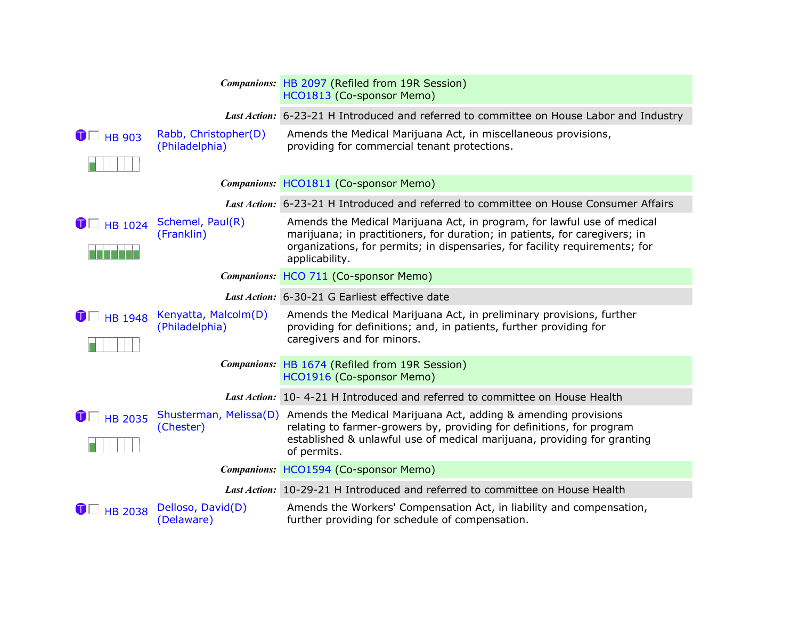|                         |                                        | Companions: HB 2097 (Refiled from 19R Session)<br>HCO1813 (Co-sponsor Memo)                                                                                                                                                                              |
|-------------------------|----------------------------------------|----------------------------------------------------------------------------------------------------------------------------------------------------------------------------------------------------------------------------------------------------------|
|                         |                                        | Last Action: 6-23-21 H Introduced and referred to committee on House Labor and Industry                                                                                                                                                                  |
| $\bullet$ $\Box$ HB 903 | Rabb, Christopher(D)<br>(Philadelphia) | Amends the Medical Marijuana Act, in miscellaneous provisions,<br>providing for commercial tenant protections.                                                                                                                                           |
|                         |                                        | Companions: HCO1811 (Co-sponsor Memo)                                                                                                                                                                                                                    |
|                         |                                        |                                                                                                                                                                                                                                                          |
|                         |                                        | Last Action: 6-23-21 H Introduced and referred to committee on House Consumer Affairs                                                                                                                                                                    |
| $\bullet$ HB 1024       | Schemel, Paul(R)<br>(Franklin)         | Amends the Medical Marijuana Act, in program, for lawful use of medical<br>marijuana; in practitioners, for duration; in patients, for caregivers; in<br>organizations, for permits; in dispensaries, for facility requirements; for<br>applicability.   |
|                         |                                        | Companions: HCO 711 (Co-sponsor Memo)                                                                                                                                                                                                                    |
|                         |                                        | Last Action: 6-30-21 G Earliest effective date                                                                                                                                                                                                           |
| $\blacksquare$ HB 1948  | Kenyatta, Malcolm(D)<br>(Philadelphia) | Amends the Medical Marijuana Act, in preliminary provisions, further<br>providing for definitions; and, in patients, further providing for<br>caregivers and for minors.                                                                                 |
|                         |                                        | Companions: HB 1674 (Refiled from 19R Session)<br>HCO1916 (Co-sponsor Memo)                                                                                                                                                                              |
|                         |                                        | Last Action: 10-4-21 H Introduced and referred to committee on House Health                                                                                                                                                                              |
| $\bullet$ HB 2035       | (Chester)                              | Shusterman, Melissa(D) Amends the Medical Marijuana Act, adding & amending provisions<br>relating to farmer-growers by, providing for definitions, for program<br>established & unlawful use of medical marijuana, providing for granting<br>of permits. |
|                         |                                        | Companions: HCO1594 (Co-sponsor Memo)                                                                                                                                                                                                                    |
|                         |                                        | Last Action: 10-29-21 H Introduced and referred to committee on House Health                                                                                                                                                                             |
| $\blacksquare$ HB 2038  | Delloso, David(D)<br>(Delaware)        | Amends the Workers' Compensation Act, in liability and compensation,<br>further providing for schedule of compensation.                                                                                                                                  |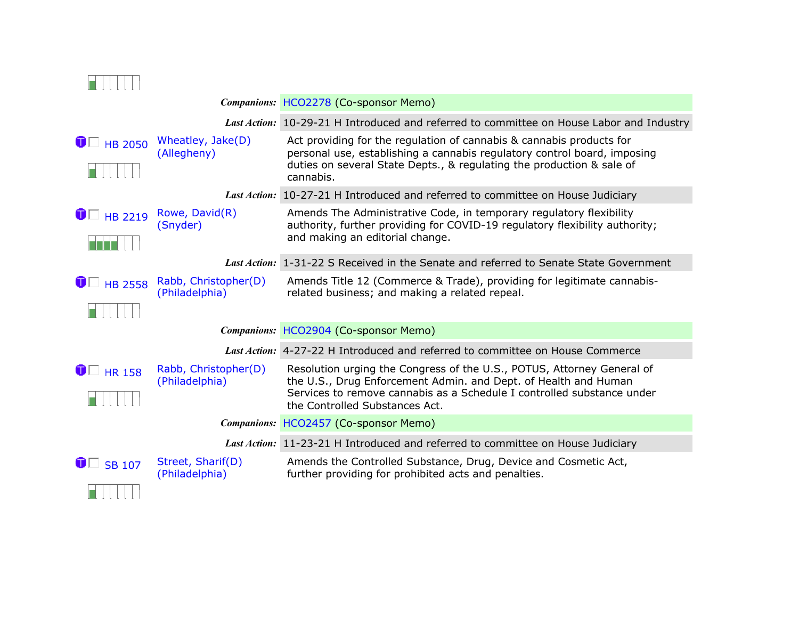|                        |                                                                                                                                                                                             | Companions: HCO2278 (Co-sponsor Memo)                                                                                                                                                                                                                 |  |
|------------------------|---------------------------------------------------------------------------------------------------------------------------------------------------------------------------------------------|-------------------------------------------------------------------------------------------------------------------------------------------------------------------------------------------------------------------------------------------------------|--|
|                        |                                                                                                                                                                                             | Last Action: 10-29-21 H Introduced and referred to committee on House Labor and Industry                                                                                                                                                              |  |
|                        | $\bullet$ $\Box$ HB 2050 Wheatley, Jake(D)<br>(Allegheny)                                                                                                                                   | Act providing for the regulation of cannabis & cannabis products for<br>personal use, establishing a cannabis regulatory control board, imposing<br>duties on several State Depts., & regulating the production & sale of<br>cannabis.                |  |
|                        |                                                                                                                                                                                             | Last Action: 10-27-21 H Introduced and referred to committee on House Judiciary                                                                                                                                                                       |  |
| $\blacksquare$ HB 2219 | Rowe, David(R)<br>(Snyder)                                                                                                                                                                  | Amends The Administrative Code, in temporary regulatory flexibility<br>authority, further providing for COVID-19 regulatory flexibility authority;<br>and making an editorial change.                                                                 |  |
|                        |                                                                                                                                                                                             | Last Action: 1-31-22 S Received in the Senate and referred to Senate State Government                                                                                                                                                                 |  |
|                        | Amends Title 12 (Commerce & Trade), providing for legitimate cannabis-<br>$\bullet$ $\Box$ HB 2558 Rabb, Christopher(D)<br>(Philadelphia)<br>related business; and making a related repeal. |                                                                                                                                                                                                                                                       |  |
|                        |                                                                                                                                                                                             | Companions: HCO2904 (Co-sponsor Memo)                                                                                                                                                                                                                 |  |
|                        |                                                                                                                                                                                             | Last Action: 4-27-22 H Introduced and referred to committee on House Commerce                                                                                                                                                                         |  |
| $\bullet$ HR 158       | Rabb, Christopher(D)<br>(Philadelphia)                                                                                                                                                      | Resolution urging the Congress of the U.S., POTUS, Attorney General of<br>the U.S., Drug Enforcement Admin. and Dept. of Health and Human<br>Services to remove cannabis as a Schedule I controlled substance under<br>the Controlled Substances Act. |  |
|                        |                                                                                                                                                                                             | Companions: HCO2457 (Co-sponsor Memo)                                                                                                                                                                                                                 |  |
|                        |                                                                                                                                                                                             | Last Action: 11-23-21 H Introduced and referred to committee on House Judiciary                                                                                                                                                                       |  |
| $\blacksquare$ SB 107  | Street, Sharif(D)<br>(Philadelphia)                                                                                                                                                         | Amends the Controlled Substance, Drug, Device and Cosmetic Act,<br>further providing for prohibited acts and penalties.                                                                                                                               |  |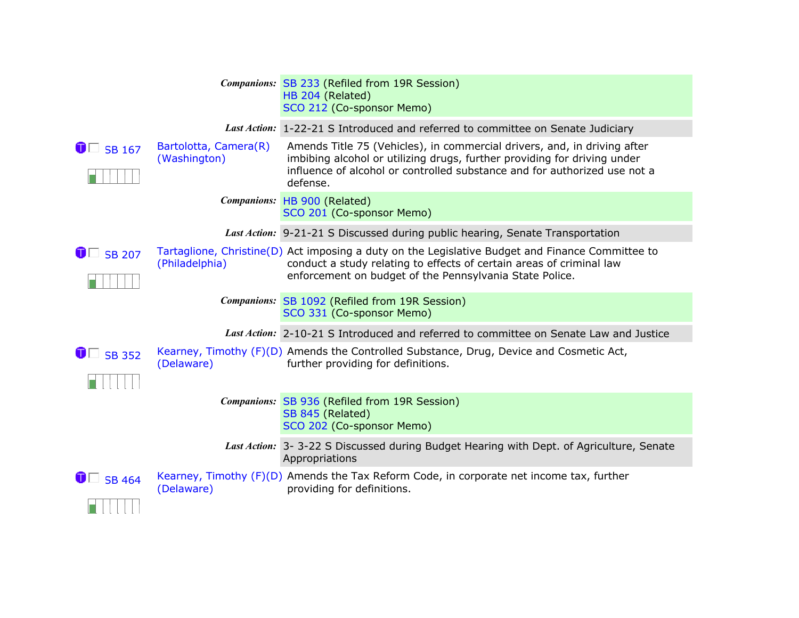|                       |                                       | Companions: SB 233 (Refiled from 19R Session)<br>HB 204 (Related)<br>SCO 212 (Co-sponsor Memo)                                                                                                                                                |
|-----------------------|---------------------------------------|-----------------------------------------------------------------------------------------------------------------------------------------------------------------------------------------------------------------------------------------------|
|                       |                                       | Last Action: 1-22-21 S Introduced and referred to committee on Senate Judiciary                                                                                                                                                               |
| $\bullet$ SB 167      | Bartolotta, Camera(R)<br>(Washington) | Amends Title 75 (Vehicles), in commercial drivers, and, in driving after<br>imbibing alcohol or utilizing drugs, further providing for driving under<br>influence of alcohol or controlled substance and for authorized use not a<br>defense. |
|                       |                                       | Companions: HB 900 (Related)<br>SCO 201 (Co-sponsor Memo)                                                                                                                                                                                     |
|                       |                                       | Last Action: 9-21-21 S Discussed during public hearing, Senate Transportation                                                                                                                                                                 |
| $\blacksquare$ SB 207 | (Philadelphia)                        | Tartaglione, Christine(D) Act imposing a duty on the Legislative Budget and Finance Committee to<br>conduct a study relating to effects of certain areas of criminal law<br>enforcement on budget of the Pennsylvania State Police.           |
|                       |                                       | Companions: SB 1092 (Refiled from 19R Session)<br>SCO 331 (Co-sponsor Memo)                                                                                                                                                                   |
|                       |                                       | Last Action: 2-10-21 S Introduced and referred to committee on Senate Law and Justice                                                                                                                                                         |
| $\bullet$ SB 352      | (Delaware)                            | Kearney, Timothy (F)(D) Amends the Controlled Substance, Drug, Device and Cosmetic Act,<br>further providing for definitions.                                                                                                                 |
|                       |                                       | Companions: SB 936 (Refiled from 19R Session)<br>SB 845 (Related)<br>SCO 202 (Co-sponsor Memo)                                                                                                                                                |
|                       |                                       | Last Action: 3-3-22 S Discussed during Budget Hearing with Dept. of Agriculture, Senate<br>Appropriations                                                                                                                                     |
| $\bullet$ SB 464      | (Delaware)                            | Kearney, Timothy (F)(D) Amends the Tax Reform Code, in corporate net income tax, further<br>providing for definitions.                                                                                                                        |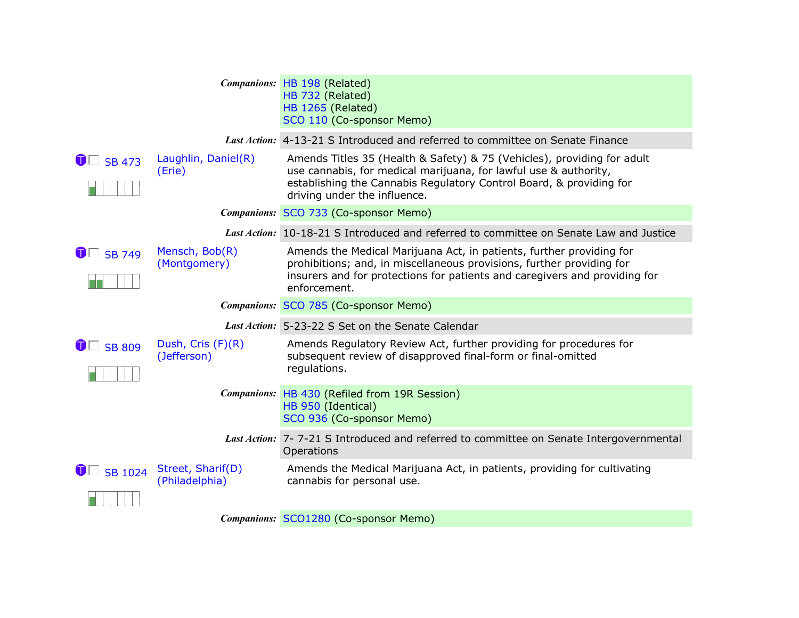|                       |                                     | Companions: HB 198 (Related)<br>HB 732 (Related)<br><b>HB 1265 (Related)</b><br>SCO 110 (Co-sponsor Memo)                                                                                                                                          |
|-----------------------|-------------------------------------|----------------------------------------------------------------------------------------------------------------------------------------------------------------------------------------------------------------------------------------------------|
|                       |                                     | Last Action: 4-13-21 S Introduced and referred to committee on Senate Finance                                                                                                                                                                      |
| $\bullet$ SB 473      | Laughlin, Daniel(R)<br>(Erie)       | Amends Titles 35 (Health & Safety) & 75 (Vehicles), providing for adult<br>use cannabis, for medical marijuana, for lawful use & authority,<br>establishing the Cannabis Regulatory Control Board, & providing for<br>driving under the influence. |
|                       |                                     | Companions: SCO 733 (Co-sponsor Memo)                                                                                                                                                                                                              |
|                       |                                     | Last Action: 10-18-21 S Introduced and referred to committee on Senate Law and Justice                                                                                                                                                             |
| $\bullet$ SB 749      | Mensch, Bob(R)<br>(Montgomery)      | Amends the Medical Marijuana Act, in patients, further providing for<br>prohibitions; and, in miscellaneous provisions, further providing for<br>insurers and for protections for patients and caregivers and providing for<br>enforcement.        |
|                       |                                     | Companions: SCO 785 (Co-sponsor Memo)                                                                                                                                                                                                              |
|                       |                                     | Last Action: 5-23-22 S Set on the Senate Calendar                                                                                                                                                                                                  |
| $\blacksquare$ SB 809 | Dush, Cris (F)(R)<br>(Jefferson)    | Amends Regulatory Review Act, further providing for procedures for<br>subsequent review of disapproved final-form or final-omitted<br>regulations.                                                                                                 |
|                       |                                     | Companions: HB 430 (Refiled from 19R Session)<br>HB 950 (Identical)<br>SCO 936 (Co-sponsor Memo)                                                                                                                                                   |
|                       |                                     | Last Action: 7-7-21 S Introduced and referred to committee on Senate Intergovernmental<br>Operations                                                                                                                                               |
| $\bullet$ SB 1024     | Street, Sharif(D)<br>(Philadelphia) | Amends the Medical Marijuana Act, in patients, providing for cultivating<br>cannabis for personal use.                                                                                                                                             |
|                       |                                     | Companions: SCO1280 (Co-sponsor Memo)                                                                                                                                                                                                              |